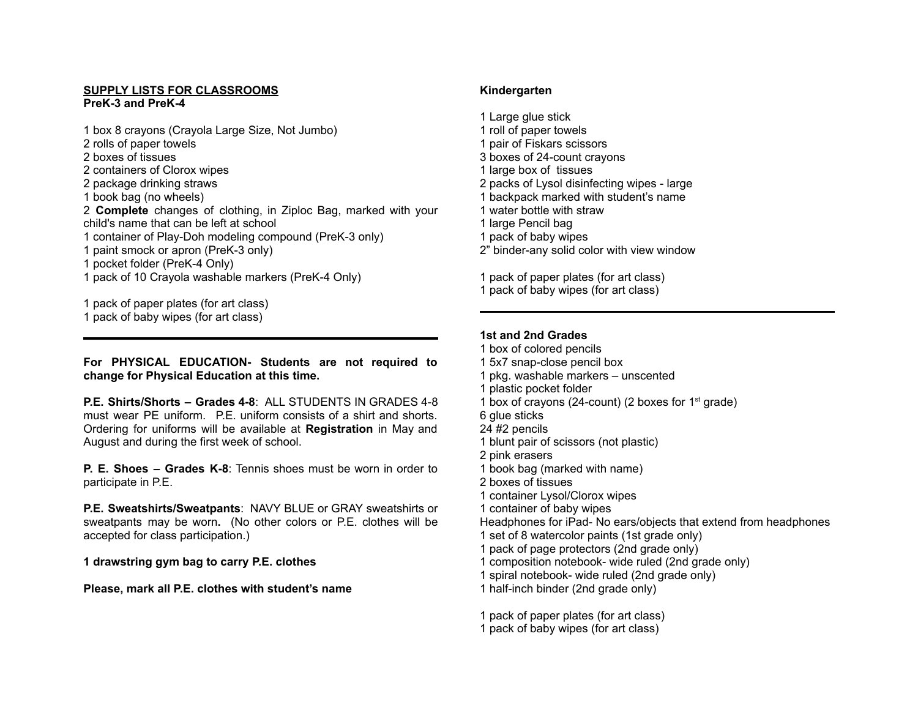#### **SUPPLY LISTS FOR CLASSROOMS PreK-3 and PreK-4**

 box 8 crayons (Crayola Large Size, Not Jumbo) rolls of paper towels boxes of tissues containers of Clorox wipes package drinking straws book bag (no wheels) **Complete** changes of clothing, in Ziploc Bag, marked with your child's name that can be left at school container of Play-Doh modeling compound (PreK-3 only) paint smock or apron (PreK-3 only) pocket folder (PreK-4 Only) pack of 10 Crayola washable markers (PreK-4 Only)

pack of paper plates (for art class)

pack of baby wipes (for art class)

**For PHYSICAL EDUCATION- Students are not required to change for Physical Education at this time.**

**P.E. Shirts/Shorts – Grades 4-8**: ALL STUDENTS IN GRADES 4-8 must wear PE uniform. P.E. uniform consists of a shirt and shorts. Ordering for uniforms will be available at **Registration** in May and August and during the first week of school.

**P. E. Shoes – Grades K-8**: Tennis shoes must be worn in order to participate in P.E.

**P.E. Sweatshirts/Sweatpants**: NAVY BLUE or GRAY sweatshirts or sweatpants may be worn**.** (No other colors or P.E. clothes will be accepted for class participation.)

**drawstring gym bag to carry P.E. clothes**

**Please, mark all P.E. clothes with student's name**

# **Kindergarten**

- Large glue stick
- roll of paper towels
- pair of Fiskars scissors
- boxes of 24-count crayons
- large box of tissues
- packs of Lysol disinfecting wipes large
- backpack marked with student's name
- water bottle with straw
- large Pencil bag
- pack of baby wipes
- 2" binder-any solid color with view window

pack of paper plates (for art class)

pack of baby wipes (for art class)

# **1st and 2nd Grades**

- box of colored pencils
- 5x7 snap-close pencil box
- pkg. washable markers unscented
- plastic pocket folder
- 1 box of crayons (24-count) (2 boxes for  $1<sup>st</sup>$  grade)
- glue sticks
- #2 pencils
- blunt pair of scissors (not plastic)
- pink erasers
- book bag (marked with name)
- boxes of tissues
- container Lysol/Clorox wipes
- container of baby wipes

Headphones for iPad- No ears/objects that extend from headphones

- set of 8 watercolor paints (1st grade only)
- pack of page protectors (2nd grade only)
- composition notebook- wide ruled (2nd grade only)
- spiral notebook- wide ruled (2nd grade only)
- half-inch binder (2nd grade only)

pack of paper plates (for art class)

pack of baby wipes (for art class)